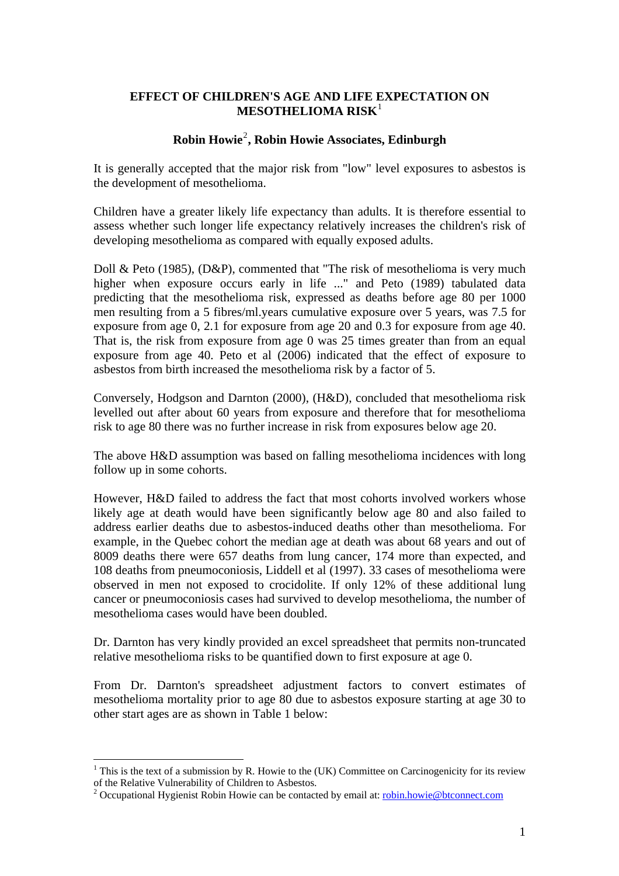## **EFFECT OF CHILDREN'S AGE AND LIFE EXPECTATION ON MESOTHELIOMA RISK**[1](#page-0-0)

# **Robin Howie**[2](#page-0-1) **, Robin Howie Associates, Edinburgh**

It is generally accepted that the major risk from "low" level exposures to asbestos is the development of mesothelioma.

Children have a greater likely life expectancy than adults. It is therefore essential to assess whether such longer life expectancy relatively increases the children's risk of developing mesothelioma as compared with equally exposed adults.

Doll & Peto (1985), (D&P), commented that "The risk of mesothelioma is very much higher when exposure occurs early in life ..." and Peto (1989) tabulated data predicting that the mesothelioma risk, expressed as deaths before age 80 per 1000 men resulting from a 5 fibres/ml.years cumulative exposure over 5 years, was 7.5 for exposure from age 0, 2.1 for exposure from age 20 and 0.3 for exposure from age 40. That is, the risk from exposure from age 0 was 25 times greater than from an equal exposure from age 40. Peto et al (2006) indicated that the effect of exposure to asbestos from birth increased the mesothelioma risk by a factor of 5.

Conversely, Hodgson and Darnton (2000), (H&D), concluded that mesothelioma risk levelled out after about 60 years from exposure and therefore that for mesothelioma risk to age 80 there was no further increase in risk from exposures below age 20.

The above H&D assumption was based on falling mesothelioma incidences with long follow up in some cohorts.

However, H&D failed to address the fact that most cohorts involved workers whose likely age at death would have been significantly below age 80 and also failed to address earlier deaths due to asbestos-induced deaths other than mesothelioma. For example, in the Quebec cohort the median age at death was about 68 years and out of 8009 deaths there were 657 deaths from lung cancer, 174 more than expected, and 108 deaths from pneumoconiosis, Liddell et al (1997). 33 cases of mesothelioma were observed in men not exposed to crocidolite. If only 12% of these additional lung cancer or pneumoconiosis cases had survived to develop mesothelioma, the number of mesothelioma cases would have been doubled.

Dr. Darnton has very kindly provided an excel spreadsheet that permits non-truncated relative mesothelioma risks to be quantified down to first exposure at age 0.

From Dr. Darnton's spreadsheet adjustment factors to convert estimates of mesothelioma mortality prior to age 80 due to asbestos exposure starting at age 30 to other start ages are as shown in Table 1 below:

 $\overline{a}$ 

<span id="page-0-0"></span> $1$  This is the text of a submission by R. Howie to the (UK) Committee on Carcinogenicity for its review of the Relative Vulnerability of Children to Asbestos.

<span id="page-0-1"></span><sup>&</sup>lt;sup>2</sup> Occupational Hygienist Robin Howie can be contacted by email at: **[robin.howie@btconnect.com](mailto:robin.howie@btconnect.com)**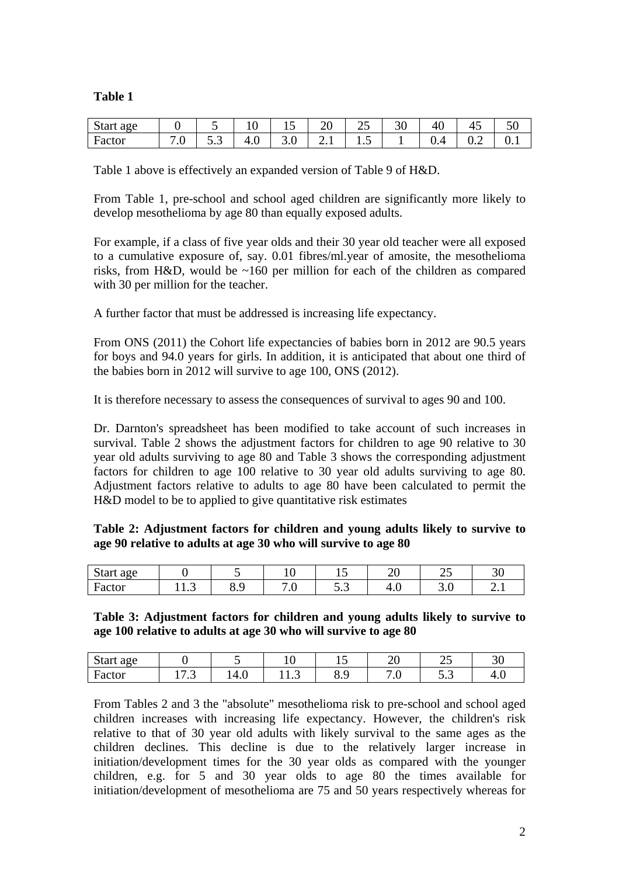### **Table 1**

| <b>Start</b><br>age<br>c |         |      | $\sim$<br>ັບ<br>-  | ∸               | . .<br>∠∪ | ت   | οr<br>υU | $\overline{\phantom{0}}$ | -<br>ື | IJΩ                           |
|--------------------------|---------|------|--------------------|-----------------|-----------|-----|----------|--------------------------|--------|-------------------------------|
| Factor                   | $\cdot$ | ن. ب | $\sim$<br>Л<br>T.V | $\cup\cdot\cup$ | 2. L      | 1.J |          | v. 1                     | ◡.∠    | $\mathbf{v} \cdot \mathbf{r}$ |

Table 1 above is effectively an expanded version of Table 9 of H&D.

From Table 1, pre-school and school aged children are significantly more likely to develop mesothelioma by age 80 than equally exposed adults.

For example, if a class of five year olds and their 30 year old teacher were all exposed to a cumulative exposure of, say. 0.01 fibres/ml.year of amosite, the mesothelioma risks, from H&D, would be ~160 per million for each of the children as compared with 30 per million for the teacher.

A further factor that must be addressed is increasing life expectancy.

From ONS (2011) the Cohort life expectancies of babies born in 2012 are 90.5 years for boys and 94.0 years for girls. In addition, it is anticipated that about one third of the babies born in 2012 will survive to age 100, ONS (2012).

It is therefore necessary to assess the consequences of survival to ages 90 and 100.

Dr. Darnton's spreadsheet has been modified to take account of such increases in survival. Table 2 shows the adjustment factors for children to age 90 relative to 30 year old adults surviving to age 80 and Table 3 shows the corresponding adjustment factors for children to age 100 relative to 30 year old adults surviving to age 80. Adjustment factors relative to adults to age 80 have been calculated to permit the H&D model to be to applied to give quantitative risk estimates

**Table 2: Adjustment factors for children and young adults likely to survive to age 90 relative to adults at age 30 who will survive to age 80** 

| <b>Start</b><br>age |      |                 | ہ .               |           | $\cap$<br>∠∪ | $\sim$ $\sim$<br>ر ب           | 30               |
|---------------------|------|-----------------|-------------------|-----------|--------------|--------------------------------|------------------|
| Factor              | 11.J | $\Omega$<br>ο.> | $\sim$<br>$\cdot$ | $\ddotsc$ | л<br>4.V     | -<br>$\bm{\cup}$ . $\bm{\cup}$ | $\overline{a}$ . |

#### **Table 3: Adjustment factors for children and young adults likely to survive to age 100 relative to adults at age 30 who will survive to age 80**

| $\sim$<br>Start<br>age |                       |                  | $\ddot{\phantom{1}}$<br>⊥ ∪ | ∸            | $\cap$<br>∠∪                                | ت   | ⌒⌒<br>υc |
|------------------------|-----------------------|------------------|-----------------------------|--------------|---------------------------------------------|-----|----------|
| −<br>Factor            | $\sim$ $\sim$<br>17.J | $\Lambda$<br>т.∪ | 11.J                        | $\sim$<br>◡. | $\overline{\phantom{0}}$<br>$\cdot$ $\circ$ | ◡•◡ | т.∪      |

From Tables 2 and 3 the "absolute" mesothelioma risk to pre-school and school aged children increases with increasing life expectancy. However, the children's risk relative to that of 30 year old adults with likely survival to the same ages as the children declines. This decline is due to the relatively larger increase in initiation/development times for the 30 year olds as compared with the younger children, e.g. for 5 and 30 year olds to age 80 the times available for initiation/development of mesothelioma are 75 and 50 years respectively whereas for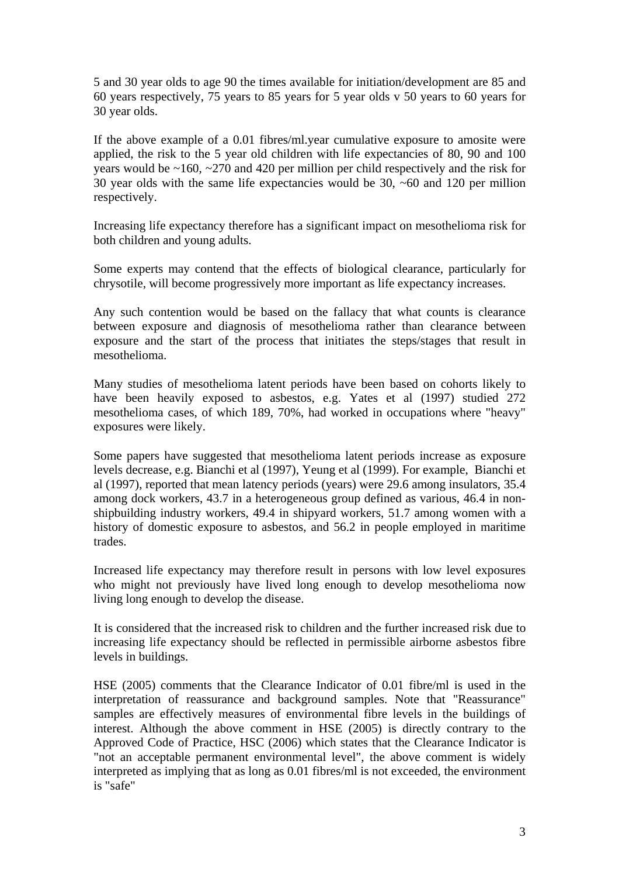5 and 30 year olds to age 90 the times available for initiation/development are 85 and 60 years respectively, 75 years to 85 years for 5 year olds v 50 years to 60 years for 30 year olds.

If the above example of a 0.01 fibres/ml.year cumulative exposure to amosite were applied, the risk to the 5 year old children with life expectancies of 80, 90 and 100 years would be  $\sim$ 160,  $\sim$ 270 and 420 per million per child respectively and the risk for 30 year olds with the same life expectancies would be 30, ~60 and 120 per million respectively.

Increasing life expectancy therefore has a significant impact on mesothelioma risk for both children and young adults.

Some experts may contend that the effects of biological clearance, particularly for chrysotile, will become progressively more important as life expectancy increases.

Any such contention would be based on the fallacy that what counts is clearance between exposure and diagnosis of mesothelioma rather than clearance between exposure and the start of the process that initiates the steps/stages that result in mesothelioma.

Many studies of mesothelioma latent periods have been based on cohorts likely to have been heavily exposed to asbestos, e.g. Yates et al (1997) studied 272 mesothelioma cases, of which 189, 70%, had worked in occupations where "heavy" exposures were likely.

Some papers have suggested that mesothelioma latent periods increase as exposure levels decrease, e.g. Bianchi et al (1997), Yeung et al (1999). For example, Bianchi et al (1997), reported that mean latency periods (years) were 29.6 among insulators, 35.4 among dock workers, 43.7 in a heterogeneous group defined as various, 46.4 in nonshipbuilding industry workers, 49.4 in shipyard workers, 51.7 among women with a history of domestic exposure to asbestos, and 56.2 in people employed in maritime trades.

Increased life expectancy may therefore result in persons with low level exposures who might not previously have lived long enough to develop mesothelioma now living long enough to develop the disease.

It is considered that the increased risk to children and the further increased risk due to increasing life expectancy should be reflected in permissible airborne asbestos fibre levels in buildings.

HSE (2005) comments that the Clearance Indicator of 0.01 fibre/ml is used in the interpretation of reassurance and background samples. Note that "Reassurance" samples are effectively measures of environmental fibre levels in the buildings of interest. Although the above comment in HSE (2005) is directly contrary to the Approved Code of Practice, HSC (2006) which states that the Clearance Indicator is "not an acceptable permanent environmental level", the above comment is widely interpreted as implying that as long as 0.01 fibres/ml is not exceeded, the environment is "safe"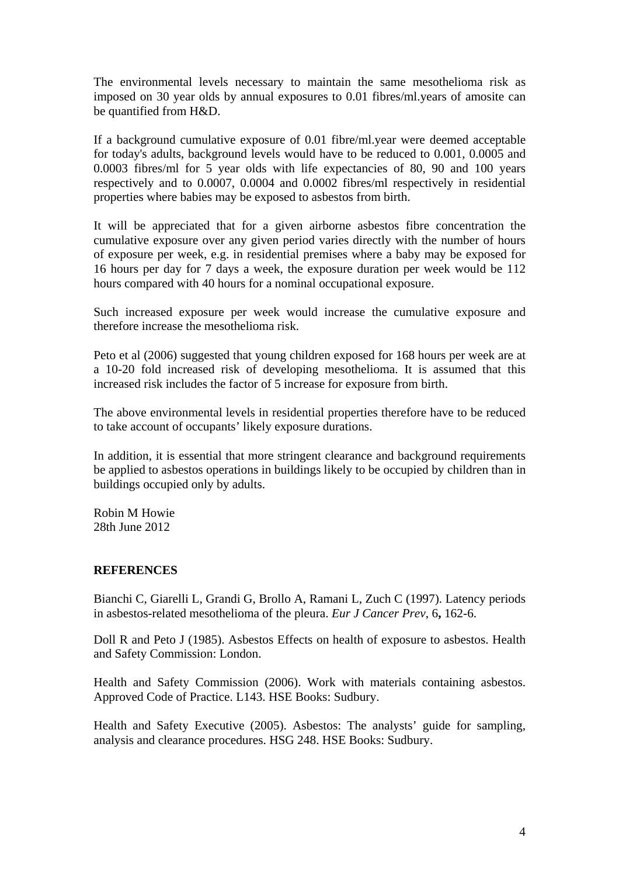The environmental levels necessary to maintain the same mesothelioma risk as imposed on 30 year olds by annual exposures to 0.01 fibres/ml.years of amosite can be quantified from H&D.

If a background cumulative exposure of 0.01 fibre/ml.year were deemed acceptable for today's adults, background levels would have to be reduced to 0.001, 0.0005 and 0.0003 fibres/ml for 5 year olds with life expectancies of 80, 90 and 100 years respectively and to 0.0007, 0.0004 and 0.0002 fibres/ml respectively in residential properties where babies may be exposed to asbestos from birth.

It will be appreciated that for a given airborne asbestos fibre concentration the cumulative exposure over any given period varies directly with the number of hours of exposure per week, e.g. in residential premises where a baby may be exposed for 16 hours per day for 7 days a week, the exposure duration per week would be 112 hours compared with 40 hours for a nominal occupational exposure.

Such increased exposure per week would increase the cumulative exposure and therefore increase the mesothelioma risk.

Peto et al (2006) suggested that young children exposed for 168 hours per week are at a 10-20 fold increased risk of developing mesothelioma. It is assumed that this increased risk includes the factor of 5 increase for exposure from birth.

The above environmental levels in residential properties therefore have to be reduced to take account of occupants' likely exposure durations.

In addition, it is essential that more stringent clearance and background requirements be applied to asbestos operations in buildings likely to be occupied by children than in buildings occupied only by adults.

Robin M Howie 28th June 2012

### **REFERENCES**

Bianchi C, Giarelli L, Grandi G, Brollo A, Ramani L, Zuch C (1997). Latency periods in asbestos-related mesothelioma of the pleura. *Eur J Cancer Prev*, 6**,** 162-6.

Doll R and Peto J (1985). Asbestos Effects on health of exposure to asbestos. Health and Safety Commission: London.

Health and Safety Commission (2006). Work with materials containing asbestos. Approved Code of Practice. L143. HSE Books: Sudbury.

Health and Safety Executive (2005). Asbestos: The analysts' guide for sampling, analysis and clearance procedures. HSG 248. HSE Books: Sudbury.